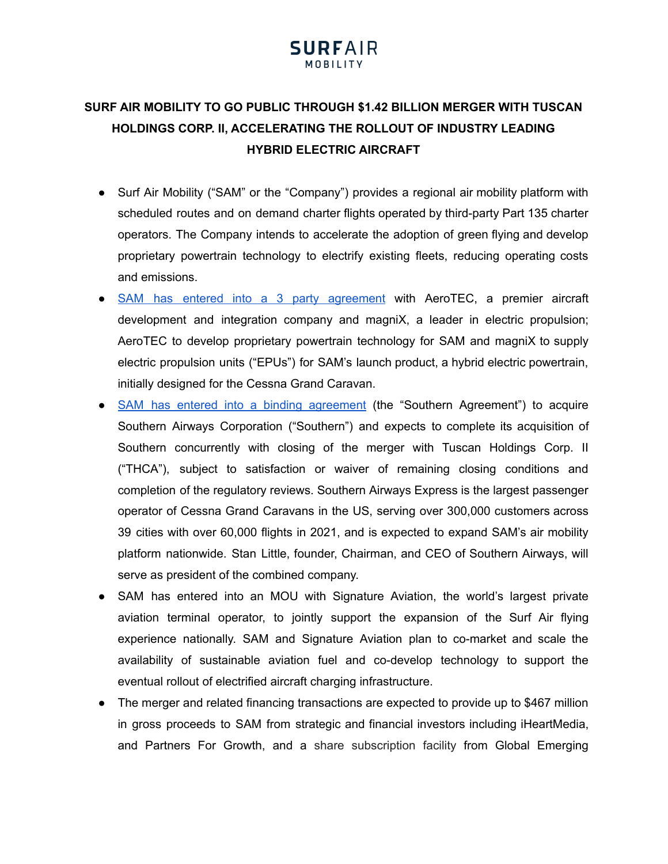## **SURF AIR MOBILITY TO GO PUBLIC THROUGH \$1.42 BILLION MERGER WITH TUSCAN HOLDINGS CORP. II, ACCELERATING THE ROLLOUT OF INDUSTRY LEADING HYBRID ELECTRIC AIRCRAFT**

- Surf Air Mobility ("SAM" or the "Company") provides a regional air mobility platform with scheduled routes and on demand charter flights operated by third-party Part 135 charter operators. The Company intends to accelerate the adoption of green flying and develop proprietary powertrain technology to electrify existing fleets, reducing operating costs and emissions.
- SAM has entered into a 3 party [agreement](https://cdn.surfair.com/wp-content/uploads/2022/05/17233500/AeroTEC_magniX-Press-Release.pdf) with AeroTEC, a premier aircraft development and integration company and magniX, a leader in electric propulsion; AeroTEC to develop proprietary powertrain technology for SAM and magniX to supply electric propulsion units ("EPUs") for SAM's launch product, a hybrid electric powertrain, initially designed for the Cessna Grand Caravan.
- SAM has entered into a binding [agreement](https://cdn.surfair.com/wp-content/uploads/2022/05/17233418/Southern-Airways-Press-Release.pdf) (the "Southern Agreement") to acquire Southern Airways Corporation ("Southern") and expects to complete its acquisition of Southern concurrently with closing of the merger with Tuscan Holdings Corp. II ("THCA"), subject to satisfaction or waiver of remaining closing conditions and completion of the regulatory reviews. Southern Airways Express is the largest passenger operator of Cessna Grand Caravans in the US, serving over 300,000 customers across 39 cities with over 60,000 flights in 2021, and is expected to expand SAM's air mobility platform nationwide. Stan Little, founder, Chairman, and CEO of Southern Airways, will serve as president of the combined company.
- SAM has entered into an MOU with Signature Aviation, the world's largest private aviation terminal operator, to jointly support the expansion of the Surf Air flying experience nationally. SAM and Signature Aviation plan to co-market and scale the availability of sustainable aviation fuel and co-develop technology to support the eventual rollout of electrified aircraft charging infrastructure.
- The merger and related financing transactions are expected to provide up to \$467 million in gross proceeds to SAM from strategic and financial investors including iHeartMedia, and Partners For Growth, and a share subscription facility from Global Emerging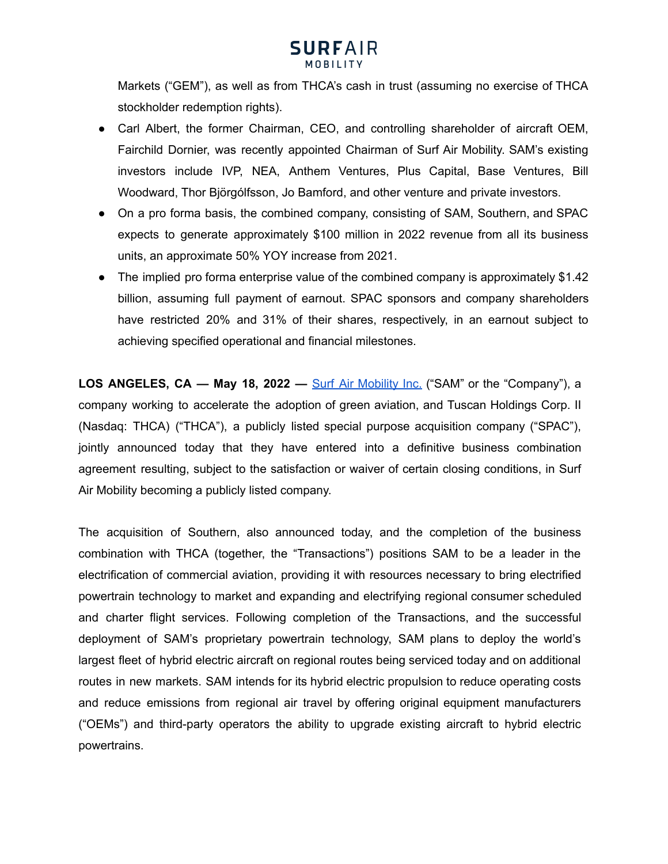

Markets ("GEM"), as well as from THCA's cash in trust (assuming no exercise of THCA stockholder redemption rights).

- Carl Albert, the former Chairman, CEO, and controlling shareholder of aircraft OEM, Fairchild Dornier, was recently appointed Chairman of Surf Air Mobility. SAM's existing investors include IVP, NEA, Anthem Ventures, Plus Capital, Base Ventures, Bill Woodward, Thor Björgólfsson, Jo Bamford, and other venture and private investors.
- On a pro forma basis, the combined company, consisting of SAM, Southern, and SPAC expects to generate approximately \$100 million in 2022 revenue from all its business units, an approximate 50% YOY increase from 2021.
- The implied pro forma enterprise value of the combined company is approximately \$1.42 billion, assuming full payment of earnout. SPAC sponsors and company shareholders have restricted 20% and 31% of their shares, respectively, in an earnout subject to achieving specified operational and financial milestones.

**LOS ANGELES, CA — May 18, 2022 —** Surf Air [Mobility](https://www.surfair.com) Inc. ("SAM" or the "Company"), a company working to accelerate the adoption of green aviation, and Tuscan Holdings Corp. II (Nasdaq: THCA) ("THCA"), a publicly listed special purpose acquisition company ("SPAC"), jointly announced today that they have entered into a definitive business combination agreement resulting, subject to the satisfaction or waiver of certain closing conditions, in Surf Air Mobility becoming a publicly listed company.

The acquisition of Southern, also announced today, and the completion of the business combination with THCA (together, the "Transactions") positions SAM to be a leader in the electrification of commercial aviation, providing it with resources necessary to bring electrified powertrain technology to market and expanding and electrifying regional consumer scheduled and charter flight services. Following completion of the Transactions, and the successful deployment of SAM's proprietary powertrain technology, SAM plans to deploy the world's largest fleet of hybrid electric aircraft on regional routes being serviced today and on additional routes in new markets. SAM intends for its hybrid electric propulsion to reduce operating costs and reduce emissions from regional air travel by offering original equipment manufacturers ("OEMs") and third-party operators the ability to upgrade existing aircraft to hybrid electric powertrains.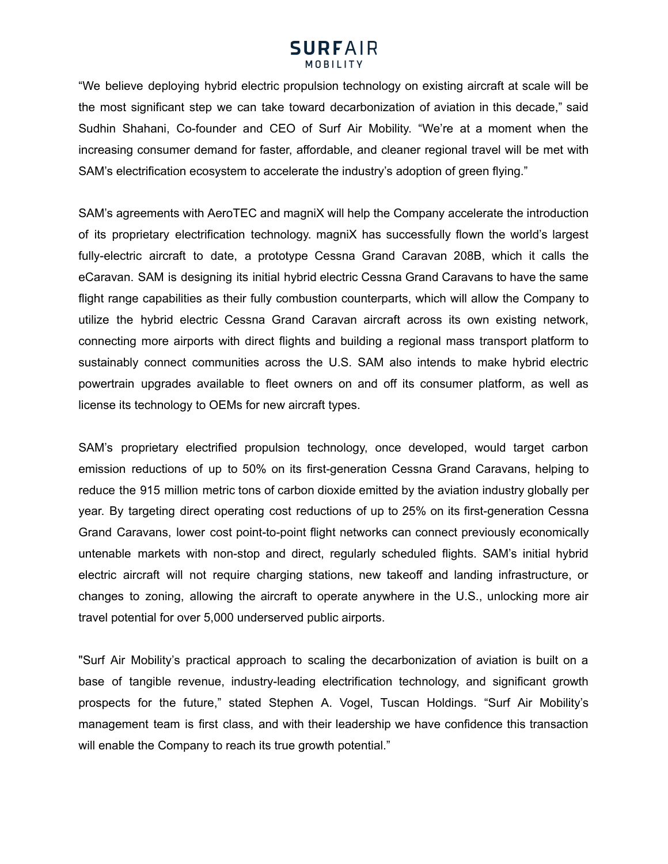"We believe deploying hybrid electric propulsion technology on existing aircraft at scale will be the most significant step we can take toward decarbonization of aviation in this decade," said Sudhin Shahani, Co-founder and CEO of Surf Air Mobility. "We're at a moment when the increasing consumer demand for faster, affordable, and cleaner regional travel will be met with SAM's electrification ecosystem to accelerate the industry's adoption of green flying."

SAM's agreements with AeroTEC and magniX will help the Company accelerate the introduction of its proprietary electrification technology. magniX has successfully flown the world's largest fully-electric aircraft to date, a prototype Cessna Grand Caravan 208B, which it calls the eCaravan. SAM is designing its initial hybrid electric Cessna Grand Caravans to have the same flight range capabilities as their fully combustion counterparts, which will allow the Company to utilize the hybrid electric Cessna Grand Caravan aircraft across its own existing network, connecting more airports with direct flights and building a regional mass transport platform to sustainably connect communities across the U.S. SAM also intends to make hybrid electric powertrain upgrades available to fleet owners on and off its consumer platform, as well as license its technology to OEMs for new aircraft types.

SAM's proprietary electrified propulsion technology, once developed, would target carbon emission reductions of up to 50% on its first-generation Cessna Grand Caravans, helping to reduce the 915 million metric tons of carbon dioxide emitted by the aviation industry globally per year. By targeting direct operating cost reductions of up to 25% on its first-generation Cessna Grand Caravans, lower cost point-to-point flight networks can connect previously economically untenable markets with non-stop and direct, regularly scheduled flights. SAM's initial hybrid electric aircraft will not require charging stations, new takeoff and landing infrastructure, or changes to zoning, allowing the aircraft to operate anywhere in the U.S., unlocking more air travel potential for over 5,000 underserved public airports.

"Surf Air Mobility's practical approach to scaling the decarbonization of aviation is built on a base of tangible revenue, industry-leading electrification technology, and significant growth prospects for the future," stated Stephen A. Vogel, Tuscan Holdings. "Surf Air Mobility's management team is first class, and with their leadership we have confidence this transaction will enable the Company to reach its true growth potential."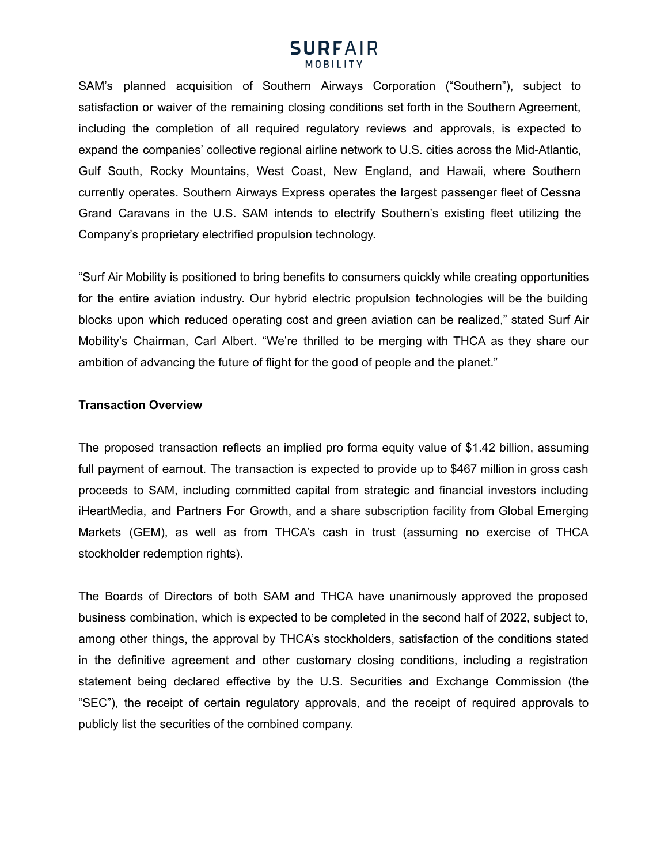SAM's planned acquisition of Southern Airways Corporation ("Southern"), subject to satisfaction or waiver of the remaining closing conditions set forth in the Southern Agreement, including the completion of all required regulatory reviews and approvals, is expected to expand the companies' collective regional airline network to U.S. cities across the Mid-Atlantic, Gulf South, Rocky Mountains, West Coast, New England, and Hawaii, where Southern currently operates. Southern Airways Express operates the largest passenger fleet of Cessna Grand Caravans in the U.S. SAM intends to electrify Southern's existing fleet utilizing the Company's proprietary electrified propulsion technology.

"Surf Air Mobility is positioned to bring benefits to consumers quickly while creating opportunities for the entire aviation industry. Our hybrid electric propulsion technologies will be the building blocks upon which reduced operating cost and green aviation can be realized," stated Surf Air Mobility's Chairman, Carl Albert. "We're thrilled to be merging with THCA as they share our ambition of advancing the future of flight for the good of people and the planet."

## **Transaction Overview**

The proposed transaction reflects an implied pro forma equity value of \$1.42 billion, assuming full payment of earnout. The transaction is expected to provide up to \$467 million in gross cash proceeds to SAM, including committed capital from strategic and financial investors including iHeartMedia, and Partners For Growth, and a share subscription facility from Global Emerging Markets (GEM), as well as from THCA's cash in trust (assuming no exercise of THCA stockholder redemption rights).

The Boards of Directors of both SAM and THCA have unanimously approved the proposed business combination, which is expected to be completed in the second half of 2022, subject to, among other things, the approval by THCA's stockholders, satisfaction of the conditions stated in the definitive agreement and other customary closing conditions, including a registration statement being declared effective by the U.S. Securities and Exchange Commission (the "SEC"), the receipt of certain regulatory approvals, and the receipt of required approvals to publicly list the securities of the combined company.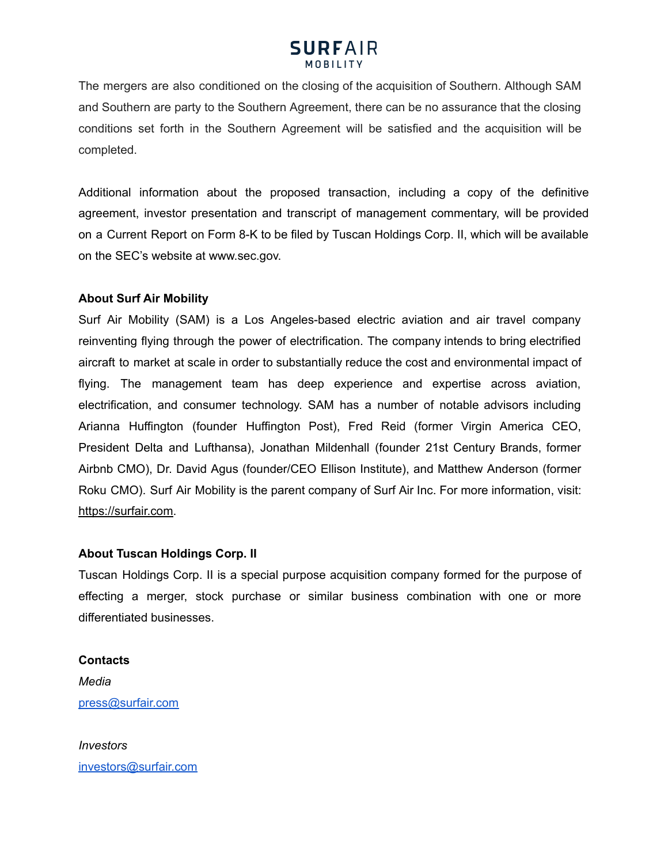The mergers are also conditioned on the closing of the acquisition of Southern. Although SAM and Southern are party to the Southern Agreement, there can be no assurance that the closing conditions set forth in the Southern Agreement will be satisfied and the acquisition will be completed.

Additional information about the proposed transaction, including a copy of the definitive agreement, investor presentation and transcript of management commentary, will be provided on a Current Report on Form 8-K to be filed by Tuscan Holdings Corp. II, which will be available on the SEC's website at www.sec.gov.

## **About Surf Air Mobility**

Surf Air Mobility (SAM) is a Los Angeles-based electric aviation and air travel company reinventing flying through the power of electrification. The company intends to bring electrified aircraft to market at scale in order to substantially reduce the cost and environmental impact of flying. The management team has deep experience and expertise across aviation, electrification, and consumer technology. SAM has a number of notable advisors including Arianna Huffington (founder Huffington Post), Fred Reid (former Virgin America CEO, President Delta and Lufthansa), Jonathan Mildenhall (founder 21st Century Brands, former Airbnb CMO), Dr. David Agus (founder/CEO Ellison Institute), and Matthew Anderson (former Roku CMO). Surf Air Mobility is the parent company of Surf Air Inc. For more information, visit: [https://surfair.com.](https://surfair.com)

## **About Tuscan Holdings Corp. II**

Tuscan Holdings Corp. II is a special purpose acquisition company formed for the purpose of effecting a merger, stock purchase or similar business combination with one or more differentiated businesses.

## **Contacts**

*Media* [press@surfair.com](mailto:press@surfair.com)

*Investors* [investors@surfair.com](mailto:investors@surfair.com)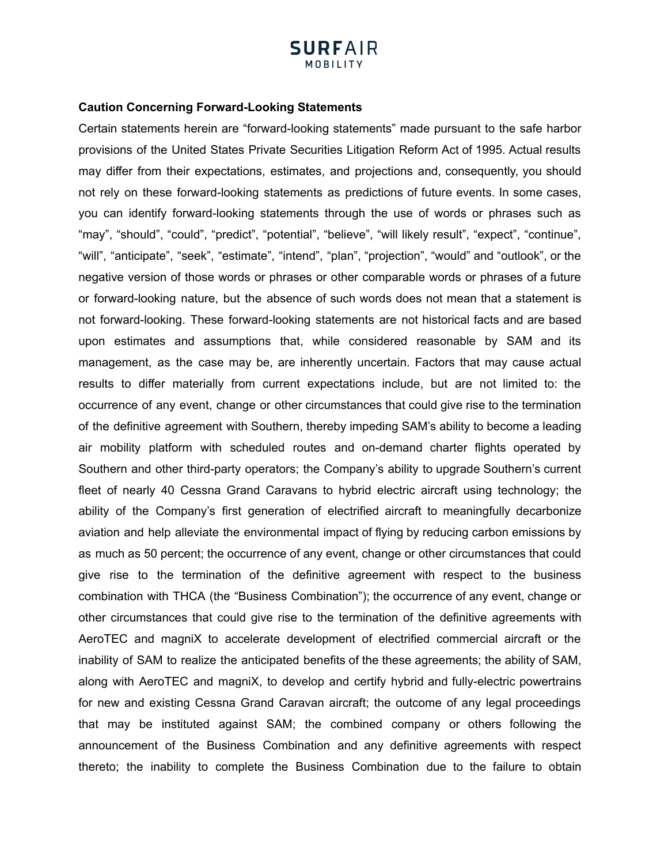## **SURFAIR MOBILITY**

#### **Caution Concerning Forward-Looking Statements**

Certain statements herein are "forward-looking statements" made pursuant to the safe harbor provisions of the United States Private Securities Litigation Reform Act of 1995. Actual results may differ from their expectations, estimates, and projections and, consequently, you should not rely on these forward-looking statements as predictions of future events. In some cases, you can identify forward-looking statements through the use of words or phrases such as "may", "should", "could", "predict", "potential", "believe", "will likely result", "expect", "continue", "will", "anticipate", "seek", "estimate", "intend", "plan", "projection", "would" and "outlook", or the negative version of those words or phrases or other comparable words or phrases of a future or forward-looking nature, but the absence of such words does not mean that a statement is not forward-looking. These forward-looking statements are not historical facts and are based upon estimates and assumptions that, while considered reasonable by SAM and its management, as the case may be, are inherently uncertain. Factors that may cause actual results to differ materially from current expectations include, but are not limited to: the occurrence of any event, change or other circumstances that could give rise to the termination of the definitive agreement with Southern, thereby impeding SAM's ability to become a leading air mobility platform with scheduled routes and on-demand charter flights operated by Southern and other third-party operators; the Company's ability to upgrade Southern's current fleet of nearly 40 Cessna Grand Caravans to hybrid electric aircraft using technology; the ability of the Company's first generation of electrified aircraft to meaningfully decarbonize aviation and help alleviate the environmental impact of flying by reducing carbon emissions by as much as 50 percent; the occurrence of any event, change or other circumstances that could give rise to the termination of the definitive agreement with respect to the business combination with THCA (the "Business Combination"); the occurrence of any event, change or other circumstances that could give rise to the termination of the definitive agreements with AeroTEC and magniX to accelerate development of electrified commercial aircraft or the inability of SAM to realize the anticipated benefits of the these agreements; the ability of SAM, along with AeroTEC and magniX, to develop and certify hybrid and fully-electric powertrains for new and existing Cessna Grand Caravan aircraft; the outcome of any legal proceedings that may be instituted against SAM; the combined company or others following the announcement of the Business Combination and any definitive agreements with respect thereto; the inability to complete the Business Combination due to the failure to obtain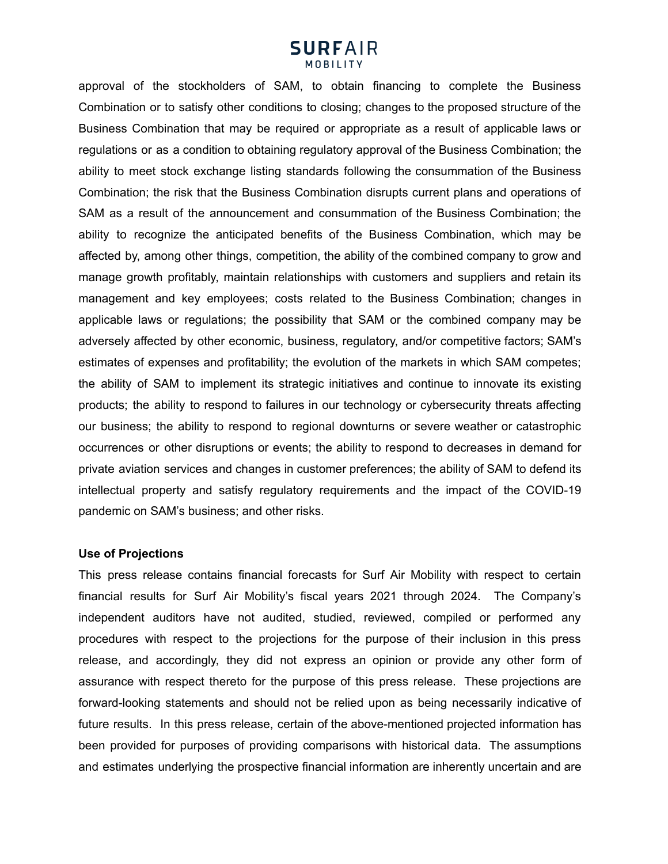approval of the stockholders of SAM, to obtain financing to complete the Business Combination or to satisfy other conditions to closing; changes to the proposed structure of the Business Combination that may be required or appropriate as a result of applicable laws or regulations or as a condition to obtaining regulatory approval of the Business Combination; the ability to meet stock exchange listing standards following the consummation of the Business Combination; the risk that the Business Combination disrupts current plans and operations of SAM as a result of the announcement and consummation of the Business Combination; the ability to recognize the anticipated benefits of the Business Combination, which may be affected by, among other things, competition, the ability of the combined company to grow and manage growth profitably, maintain relationships with customers and suppliers and retain its management and key employees; costs related to the Business Combination; changes in applicable laws or regulations; the possibility that SAM or the combined company may be adversely affected by other economic, business, regulatory, and/or competitive factors; SAM's estimates of expenses and profitability; the evolution of the markets in which SAM competes; the ability of SAM to implement its strategic initiatives and continue to innovate its existing products; the ability to respond to failures in our technology or cybersecurity threats affecting our business; the ability to respond to regional downturns or severe weather or catastrophic occurrences or other disruptions or events; the ability to respond to decreases in demand for private aviation services and changes in customer preferences; the ability of SAM to defend its intellectual property and satisfy regulatory requirements and the impact of the COVID-19 pandemic on SAM's business; and other risks.

#### **Use of Projections**

This press release contains financial forecasts for Surf Air Mobility with respect to certain financial results for Surf Air Mobility's fiscal years 2021 through 2024. The Company's independent auditors have not audited, studied, reviewed, compiled or performed any procedures with respect to the projections for the purpose of their inclusion in this press release, and accordingly, they did not express an opinion or provide any other form of assurance with respect thereto for the purpose of this press release. These projections are forward-looking statements and should not be relied upon as being necessarily indicative of future results. In this press release, certain of the above-mentioned projected information has been provided for purposes of providing comparisons with historical data. The assumptions and estimates underlying the prospective financial information are inherently uncertain and are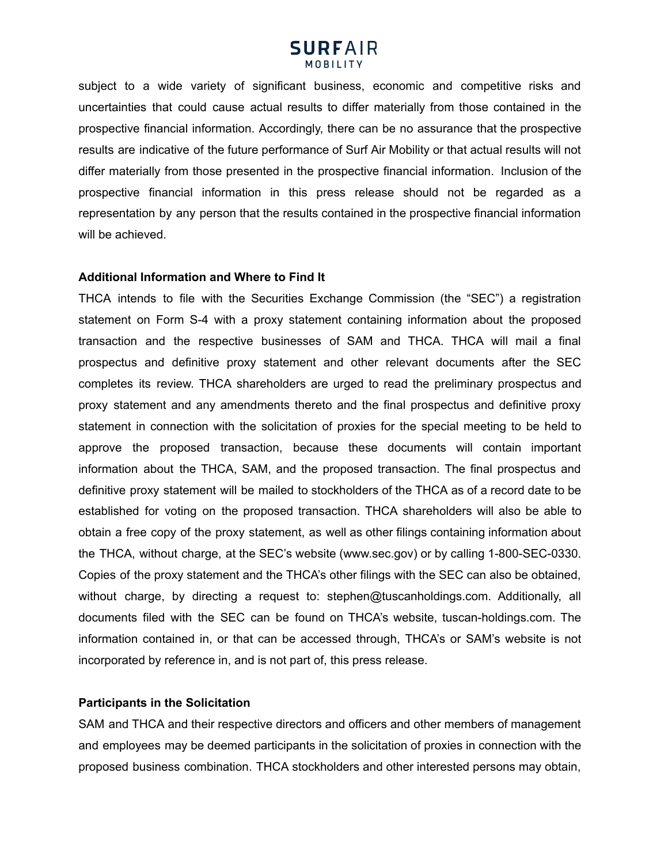subject to a wide variety of significant business, economic and competitive risks and uncertainties that could cause actual results to differ materially from those contained in the prospective financial information. Accordingly, there can be no assurance that the prospective results are indicative of the future performance of Surf Air Mobility or that actual results will not differ materially from those presented in the prospective financial information. Inclusion of the prospective financial information in this press release should not be regarded as a representation by any person that the results contained in the prospective financial information will be achieved.

#### **Additional Information and Where to Find It**

THCA intends to file with the Securities Exchange Commission (the "SEC") a registration statement on Form S-4 with a proxy statement containing information about the proposed transaction and the respective businesses of SAM and THCA. THCA will mail a final prospectus and definitive proxy statement and other relevant documents after the SEC completes its review. THCA shareholders are urged to read the preliminary prospectus and proxy statement and any amendments thereto and the final prospectus and definitive proxy statement in connection with the solicitation of proxies for the special meeting to be held to approve the proposed transaction, because these documents will contain important information about the THCA, SAM, and the proposed transaction. The final prospectus and definitive proxy statement will be mailed to stockholders of the THCA as of a record date to be established for voting on the proposed transaction. THCA shareholders will also be able to obtain a free copy of the proxy statement, as well as other filings containing information about the THCA, without charge, at the SEC's website (www.sec.gov) or by calling 1-800-SEC-0330. Copies of the proxy statement and the THCA's other filings with the SEC can also be obtained, without charge, by directing a request to: stephen@tuscanholdings.com. Additionally, all documents filed with the SEC can be found on THCA's website, [tuscan-holdings.com](http://tuscan-holdings.com/). The information contained in, or that can be accessed through, THCA's or SAM's website is not incorporated by reference in, and is not part of, this press release.

### **Participants in the Solicitation**

SAM and THCA and their respective directors and officers and other members of management and employees may be deemed participants in the solicitation of proxies in connection with the proposed business combination. THCA stockholders and other interested persons may obtain,